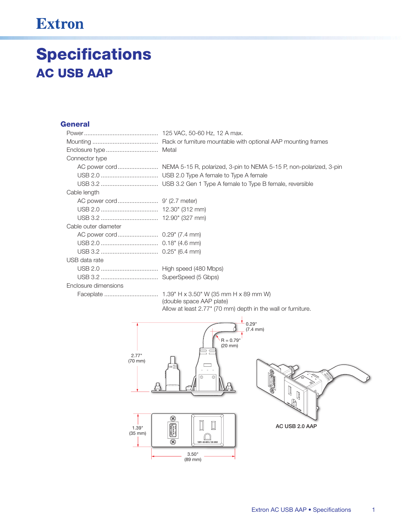## **Extron**

## **Specifications AC USB AAP**

## **General**

| Connector type       |                                                                                  |
|----------------------|----------------------------------------------------------------------------------|
|                      | AC power cord NEMA 5-15 R, polarized, 3-pin to NEMA 5-15 P, non-polarized, 3-pin |
|                      |                                                                                  |
|                      |                                                                                  |
| Cable length         |                                                                                  |
|                      |                                                                                  |
|                      |                                                                                  |
|                      |                                                                                  |
| Cable outer diameter |                                                                                  |
|                      |                                                                                  |
|                      |                                                                                  |
|                      |                                                                                  |
| USB data rate        |                                                                                  |
|                      |                                                                                  |
|                      |                                                                                  |
| Enclosure dimensions |                                                                                  |
|                      |                                                                                  |

(double space AAP plate) Allow at least 2.77" (70 mm) depth in the wall or furniture.